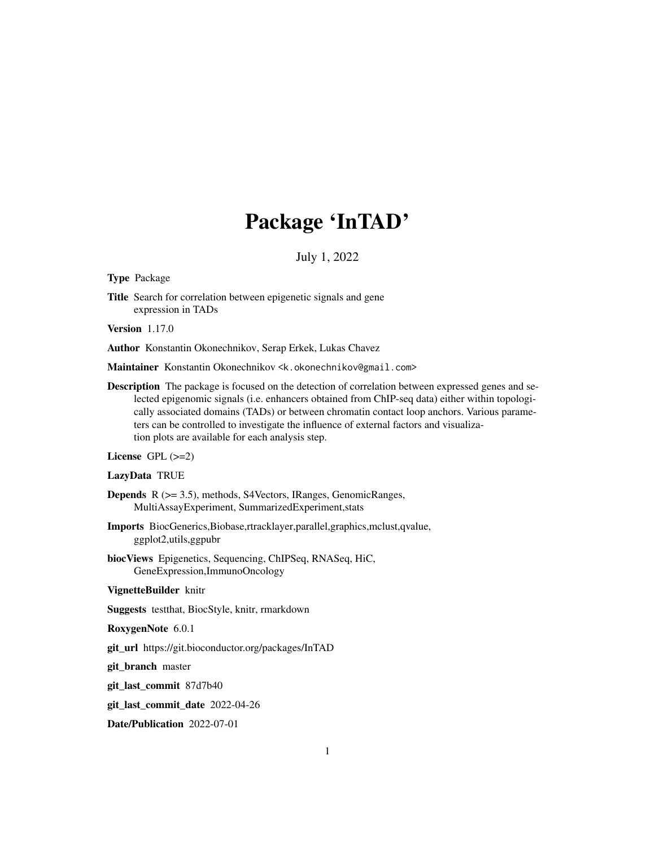# Package 'InTAD'

#### July 1, 2022

Type Package

Title Search for correlation between epigenetic signals and gene expression in TADs

Version 1.17.0

Author Konstantin Okonechnikov, Serap Erkek, Lukas Chavez

Maintainer Konstantin Okonechnikov <k.okonechnikov@gmail.com>

Description The package is focused on the detection of correlation between expressed genes and selected epigenomic signals (i.e. enhancers obtained from ChIP-seq data) either within topologically associated domains (TADs) or between chromatin contact loop anchors. Various parameters can be controlled to investigate the influence of external factors and visualization plots are available for each analysis step.

License GPL  $(>=2)$ 

LazyData TRUE

- Depends R (>= 3.5), methods, S4Vectors, IRanges, GenomicRanges, MultiAssayExperiment, SummarizedExperiment,stats
- Imports BiocGenerics,Biobase,rtracklayer,parallel,graphics,mclust,qvalue, ggplot2,utils,ggpubr
- biocViews Epigenetics, Sequencing, ChIPSeq, RNASeq, HiC, GeneExpression,ImmunoOncology

#### VignetteBuilder knitr

Suggests testthat, BiocStyle, knitr, rmarkdown

RoxygenNote 6.0.1

git\_url https://git.bioconductor.org/packages/InTAD

git\_branch master

git\_last\_commit 87d7b40

git\_last\_commit\_date 2022-04-26

Date/Publication 2022-07-01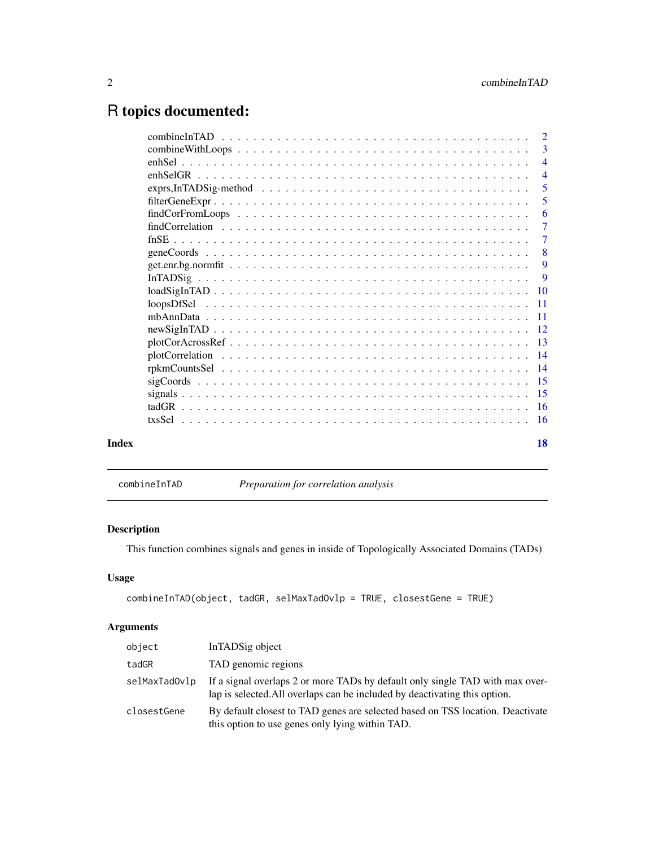## <span id="page-1-0"></span>R topics documented:

|       | 3<br>$\overline{4}$<br>$\overline{4}$<br>$\overline{5}$<br>5<br>6<br>$\overline{7}$<br>$\overline{7}$ |
|-------|-------------------------------------------------------------------------------------------------------|
|       |                                                                                                       |
|       |                                                                                                       |
|       |                                                                                                       |
|       |                                                                                                       |
|       |                                                                                                       |
|       |                                                                                                       |
|       |                                                                                                       |
|       |                                                                                                       |
|       | 8                                                                                                     |
|       | 9                                                                                                     |
|       | 9                                                                                                     |
|       |                                                                                                       |
|       |                                                                                                       |
|       |                                                                                                       |
|       |                                                                                                       |
|       |                                                                                                       |
|       |                                                                                                       |
|       |                                                                                                       |
|       |                                                                                                       |
|       |                                                                                                       |
|       |                                                                                                       |
|       |                                                                                                       |
|       |                                                                                                       |
| Index | 18                                                                                                    |

combineInTAD *Preparation for correlation analysis*

#### Description

This function combines signals and genes in inside of Topologically Associated Domains (TADs)

#### Usage

```
combineInTAD(object, tadGR, selMaxTadOvlp = TRUE, closestGene = TRUE)
```
#### Arguments

| object        | InTADSig object                                                                                                                                             |
|---------------|-------------------------------------------------------------------------------------------------------------------------------------------------------------|
| tadGR         | TAD genomic regions                                                                                                                                         |
| selMaxTadOvlp | If a signal overlaps 2 or more TADs by default only single TAD with max over-<br>lap is selected. All overlaps can be included by deactivating this option. |
| closestGene   | By default closest to TAD genes are selected based on TSS location. Deactivate<br>this option to use genes only lying within TAD.                           |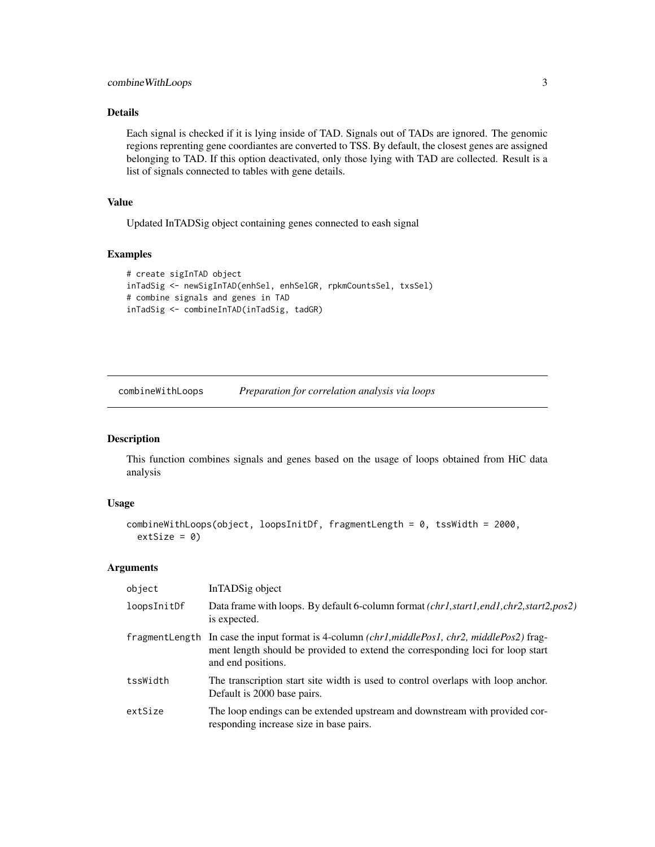#### <span id="page-2-0"></span>Details

Each signal is checked if it is lying inside of TAD. Signals out of TADs are ignored. The genomic regions reprenting gene coordiantes are converted to TSS. By default, the closest genes are assigned belonging to TAD. If this option deactivated, only those lying with TAD are collected. Result is a list of signals connected to tables with gene details.

#### Value

Updated InTADSig object containing genes connected to eash signal

#### Examples

```
# create sigInTAD object
inTadSig <- newSigInTAD(enhSel, enhSelGR, rpkmCountsSel, txsSel)
# combine signals and genes in TAD
inTadSig <- combineInTAD(inTadSig, tadGR)
```
combineWithLoops *Preparation for correlation analysis via loops*

#### Description

This function combines signals and genes based on the usage of loops obtained from HiC data analysis

#### Usage

```
combineWithLoops(object, loopsInitDf, fragmentLength = 0, tssWidth = 2000,
 extSize = 0
```
#### Arguments

| object      | InTADSig object                                                                                                                                                                                        |
|-------------|--------------------------------------------------------------------------------------------------------------------------------------------------------------------------------------------------------|
| loopsInitDf | Data frame with loops. By default 6-column format <i>(chr1,start1,end1,chr2,start2,pos2)</i><br>is expected.                                                                                           |
|             | fragmentLength In case the input format is 4-column (chr1, middlePos1, chr2, middlePos2) frag-<br>ment length should be provided to extend the corresponding loci for loop start<br>and end positions. |
| tssWidth    | The transcription start site width is used to control overlaps with loop anchor.<br>Default is 2000 base pairs.                                                                                        |
| extSize     | The loop endings can be extended upstream and downstream with provided cor-<br>responding increase size in base pairs.                                                                                 |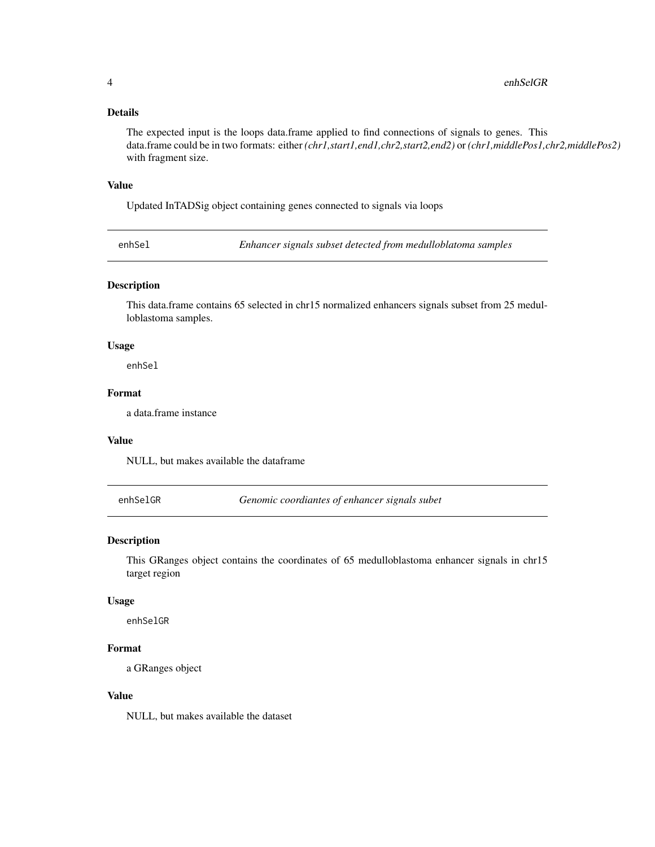#### <span id="page-3-0"></span>Details

The expected input is the loops data.frame applied to find connections of signals to genes. This data.frame could be in two formats: either *(chr1,start1,end1,chr2,start2,end2)* or *(chr1,middlePos1,chr2,middlePos2)* with fragment size.

#### Value

Updated InTADSig object containing genes connected to signals via loops

enhSel *Enhancer signals subset detected from medulloblatoma samples*

#### Description

This data.frame contains 65 selected in chr15 normalized enhancers signals subset from 25 medulloblastoma samples.

#### Usage

enhSel

#### Format

a data.frame instance

#### Value

NULL, but makes available the dataframe

enhSelGR *Genomic coordiantes of enhancer signals subet*

#### Description

This GRanges object contains the coordinates of 65 medulloblastoma enhancer signals in chr15 target region

#### Usage

enhSelGR

#### Format

a GRanges object

#### Value

NULL, but makes available the dataset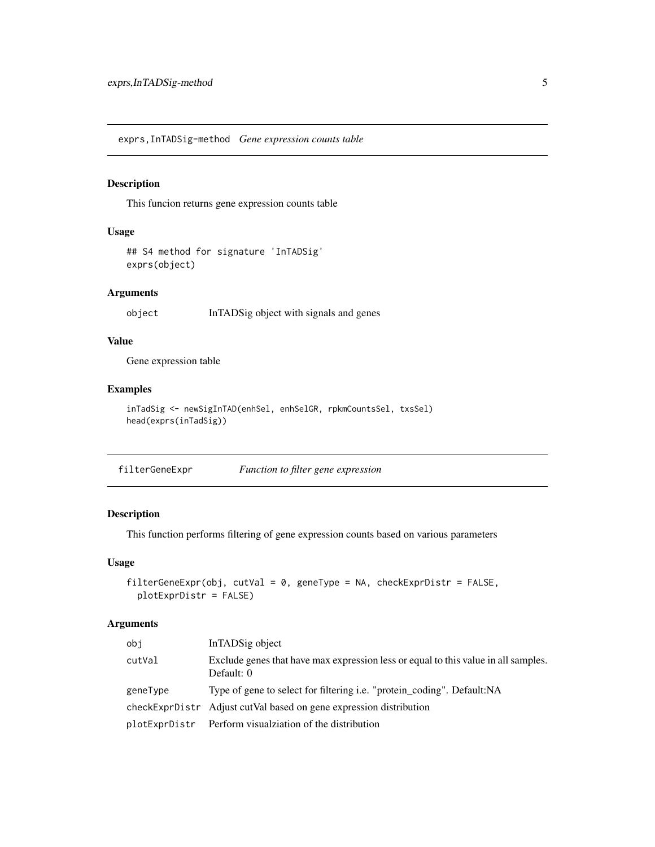<span id="page-4-0"></span>exprs,InTADSig-method *Gene expression counts table*

#### Description

This funcion returns gene expression counts table

#### Usage

```
## S4 method for signature 'InTADSig'
exprs(object)
```
#### Arguments

object InTADSig object with signals and genes

#### Value

Gene expression table

#### Examples

```
inTadSig <- newSigInTAD(enhSel, enhSelGR, rpkmCountsSel, txsSel)
head(exprs(inTadSig))
```
filterGeneExpr *Function to filter gene expression*

#### Description

This function performs filtering of gene expression counts based on various parameters

#### Usage

```
filterGeneExpr(obj, cutVal = 0, geneType = NA, checkExprDistr = FALSE,
 plotExprDistr = FALSE)
```
#### Arguments

| obi      | InTADSig object                                                                                  |
|----------|--------------------------------------------------------------------------------------------------|
| cutVal   | Exclude genes that have max expression less or equal to this value in all samples.<br>Default: 0 |
| geneType | Type of gene to select for filtering <i>i.e.</i> "protein_coding". Default:NA                    |
|          | checkExprDistr Adjust cutVal based on gene expression distribution                               |
|          | plotExprDistr Perform visualziation of the distribution                                          |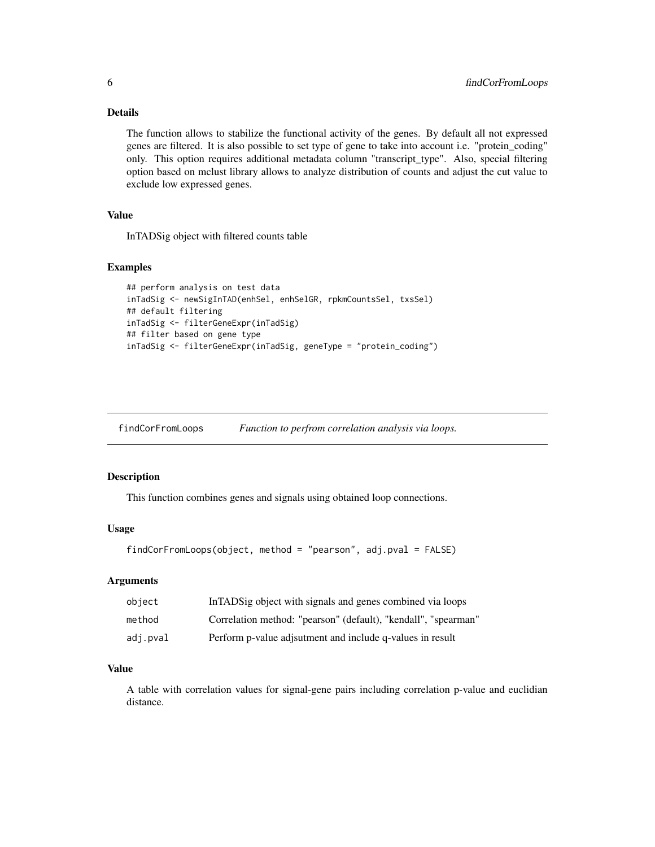#### <span id="page-5-0"></span>Details

The function allows to stabilize the functional activity of the genes. By default all not expressed genes are filtered. It is also possible to set type of gene to take into account i.e. "protein\_coding" only. This option requires additional metadata column "transcript\_type". Also, special filtering option based on mclust library allows to analyze distribution of counts and adjust the cut value to exclude low expressed genes.

#### Value

InTADSig object with filtered counts table

#### Examples

```
## perform analysis on test data
inTadSig <- newSigInTAD(enhSel, enhSelGR, rpkmCountsSel, txsSel)
## default filtering
inTadSig <- filterGeneExpr(inTadSig)
## filter based on gene type
inTadSig <- filterGeneExpr(inTadSig, geneType = "protein_coding")
```
findCorFromLoops *Function to perfrom correlation analysis via loops.*

#### Description

This function combines genes and signals using obtained loop connections.

#### Usage

```
findCorFromLoops(object, method = "pearson", adj.pval = FALSE)
```
#### Arguments

| object   | In TADS ig object with signals and genes combined via loops    |
|----------|----------------------------------------------------------------|
| method   | Correlation method: "pearson" (default), "kendall", "spearman" |
| adj.pval | Perform p-value adjsutment and include q-values in result      |

#### Value

A table with correlation values for signal-gene pairs including correlation p-value and euclidian distance.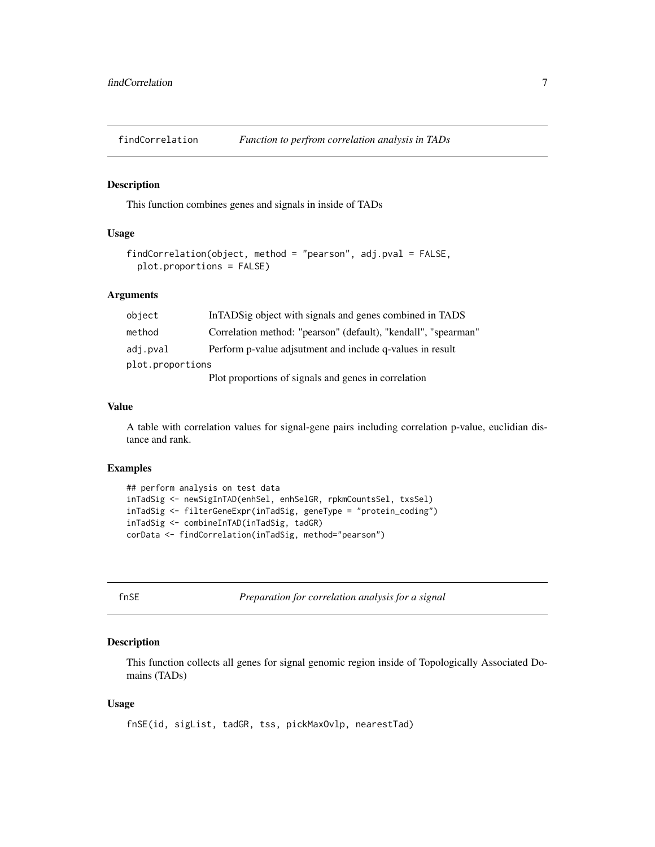<span id="page-6-0"></span>

This function combines genes and signals in inside of TADs

#### Usage

```
findCorrelation(object, method = "pearson", adj.pval = FALSE,
 plot.proportions = FALSE)
```
#### Arguments

| object           | In TADS ig object with signals and genes combined in TADS      |  |
|------------------|----------------------------------------------------------------|--|
| method           | Correlation method: "pearson" (default), "kendall", "spearman" |  |
| adj.pval         | Perform p-value adjsutment and include q-values in result      |  |
| plot.proportions |                                                                |  |
|                  | Plot proportions of signals and genes in correlation           |  |

#### Value

A table with correlation values for signal-gene pairs including correlation p-value, euclidian distance and rank.

#### Examples

```
## perform analysis on test data
inTadSig <- newSigInTAD(enhSel, enhSelGR, rpkmCountsSel, txsSel)
inTadSig <- filterGeneExpr(inTadSig, geneType = "protein_coding")
inTadSig <- combineInTAD(inTadSig, tadGR)
corData <- findCorrelation(inTadSig, method="pearson")
```

|  | ۰. |
|--|----|
|  | ۰. |

 $F$ *Preparation for correlation analysis for a signal* 

#### Description

This function collects all genes for signal genomic region inside of Topologically Associated Domains (TADs)

#### Usage

fnSE(id, sigList, tadGR, tss, pickMaxOvlp, nearestTad)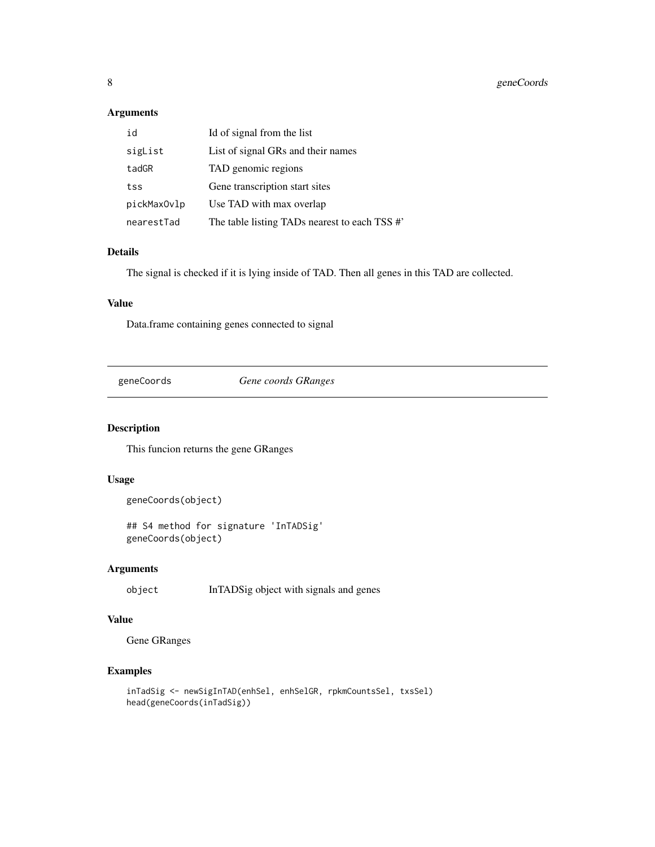#### <span id="page-7-0"></span>Arguments

| id          | Id of signal from the list                    |
|-------------|-----------------------------------------------|
| sigList     | List of signal GRs and their names            |
| tadGR       | TAD genomic regions                           |
| tss         | Gene transcription start sites                |
| pickMaxOvlp | Use TAD with max overlap                      |
| nearestTad  | The table listing TADs nearest to each TSS #' |

#### Details

The signal is checked if it is lying inside of TAD. Then all genes in this TAD are collected.

#### Value

Data.frame containing genes connected to signal

geneCoords *Gene coords GRanges*

#### Description

This funcion returns the gene GRanges

#### Usage

```
geneCoords(object)
```
## S4 method for signature 'InTADSig' geneCoords(object)

#### Arguments

object InTADSig object with signals and genes

#### Value

Gene GRanges

```
inTadSig <- newSigInTAD(enhSel, enhSelGR, rpkmCountsSel, txsSel)
head(geneCoords(inTadSig))
```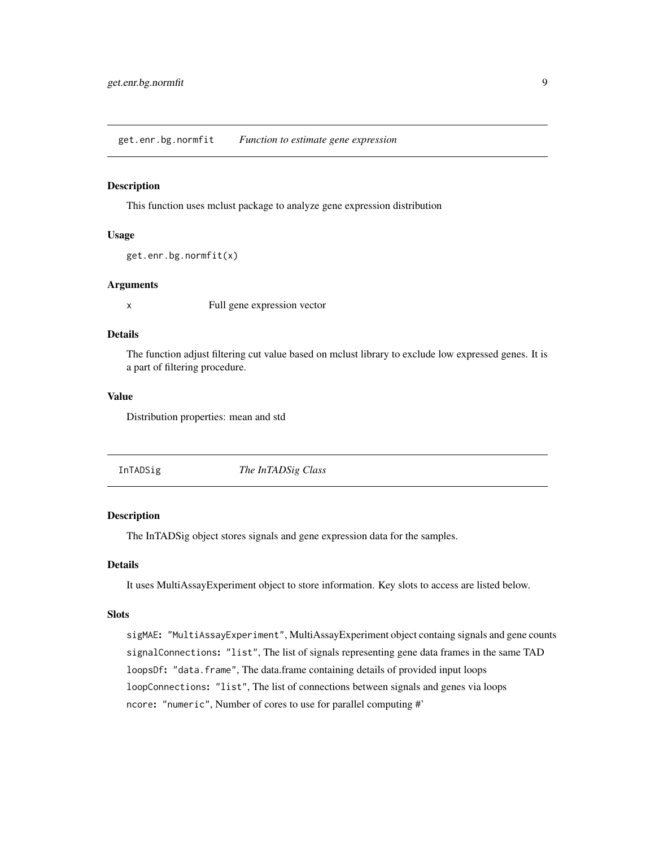<span id="page-8-0"></span>get.enr.bg.normfit *Function to estimate gene expression*

#### Description

This function uses mclust package to analyze gene expression distribution

#### Usage

```
get.enr.bg.normfit(x)
```
#### **Arguments**

x Full gene expression vector

#### Details

The function adjust filtering cut value based on mclust library to exclude low expressed genes. It is a part of filtering procedure.

#### Value

Distribution properties: mean and std

InTADSig *The InTADSig Class*

#### Description

The InTADSig object stores signals and gene expression data for the samples.

#### Details

It uses MultiAssayExperiment object to store information. Key slots to access are listed below.

#### Slots

sigMAE: "MultiAssayExperiment", MultiAssayExperiment object containg signals and gene counts signalConnections: "list", The list of signals representing gene data frames in the same TAD loopsDf: "data.frame", The data.frame containing details of provided input loops loopConnections: "list", The list of connections between signals and genes via loops ncore: "numeric", Number of cores to use for parallel computing #'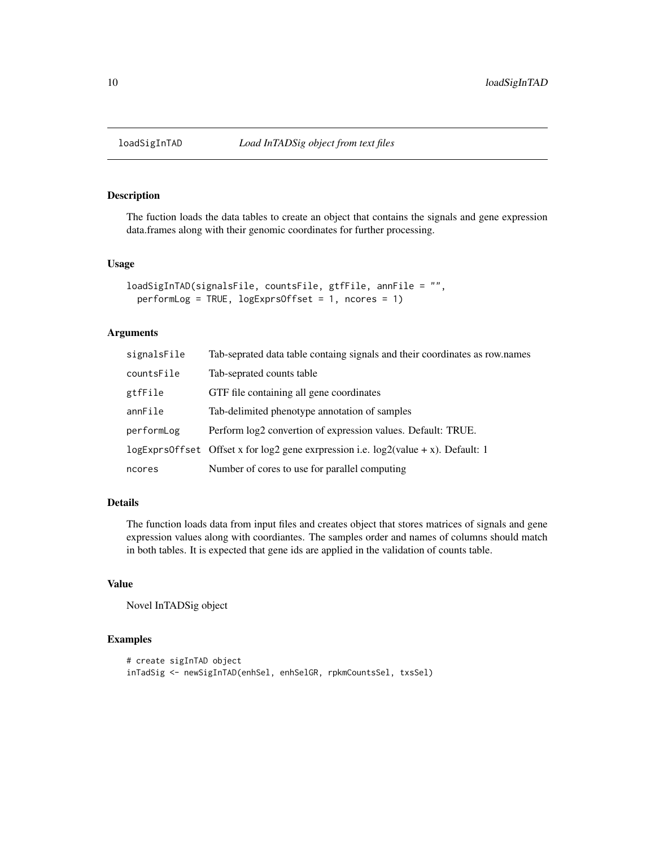<span id="page-9-0"></span>

The fuction loads the data tables to create an object that contains the signals and gene expression data.frames along with their genomic coordinates for further processing.

#### Usage

```
loadSigInTAD(signalsFile, countsFile, gtfFile, annFile = "",
 performLog = TRUE, logExprsOffset = 1, ncores = 1)
```
#### Arguments

| signalsFile | Tab-seprated data table containg signals and their coordinates as row.names                |
|-------------|--------------------------------------------------------------------------------------------|
| countsFile  | Tab-seprated counts table                                                                  |
| gtfFile     | GTF file containing all gene coordinates                                                   |
| annFile     | Tab-delimited phenotype annotation of samples                                              |
| performLog  | Perform log2 convertion of expression values. Default: TRUE.                               |
|             | $logExpressOffset$ Offset x for $log2$ gene expression i.e. $log2$ (value + x). Default: 1 |
| ncores      | Number of cores to use for parallel computing                                              |

#### Details

The function loads data from input files and creates object that stores matrices of signals and gene expression values along with coordiantes. The samples order and names of columns should match in both tables. It is expected that gene ids are applied in the validation of counts table.

#### Value

Novel InTADSig object

```
# create sigInTAD object
inTadSig <- newSigInTAD(enhSel, enhSelGR, rpkmCountsSel, txsSel)
```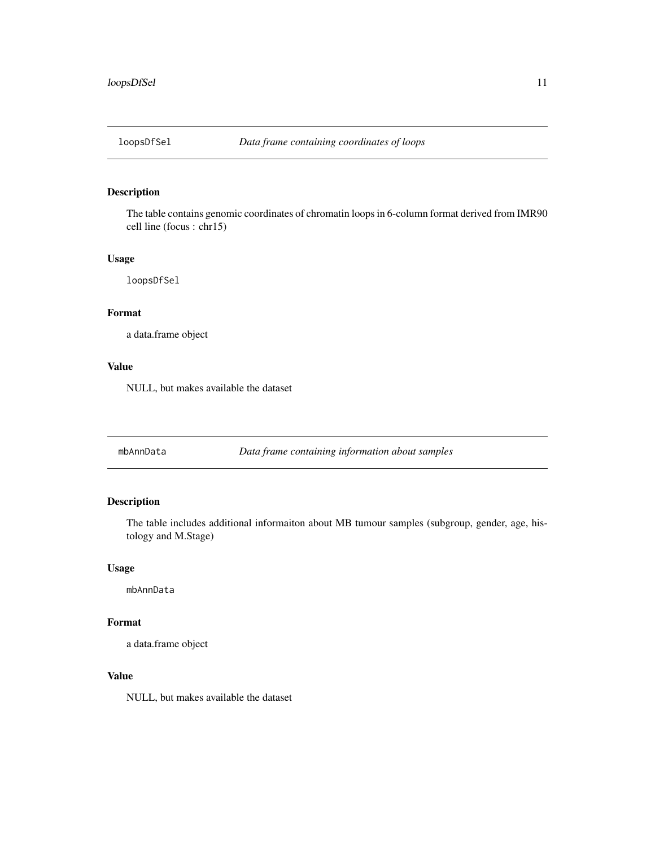<span id="page-10-0"></span>

The table contains genomic coordinates of chromatin loops in 6-column format derived from IMR90 cell line (focus : chr15)

#### Usage

loopsDfSel

#### Format

a data.frame object

#### Value

NULL, but makes available the dataset

mbAnnData *Data frame containing information about samples*

#### Description

The table includes additional informaiton about MB tumour samples (subgroup, gender, age, histology and M.Stage)

#### Usage

mbAnnData

#### Format

a data.frame object

#### Value

NULL, but makes available the dataset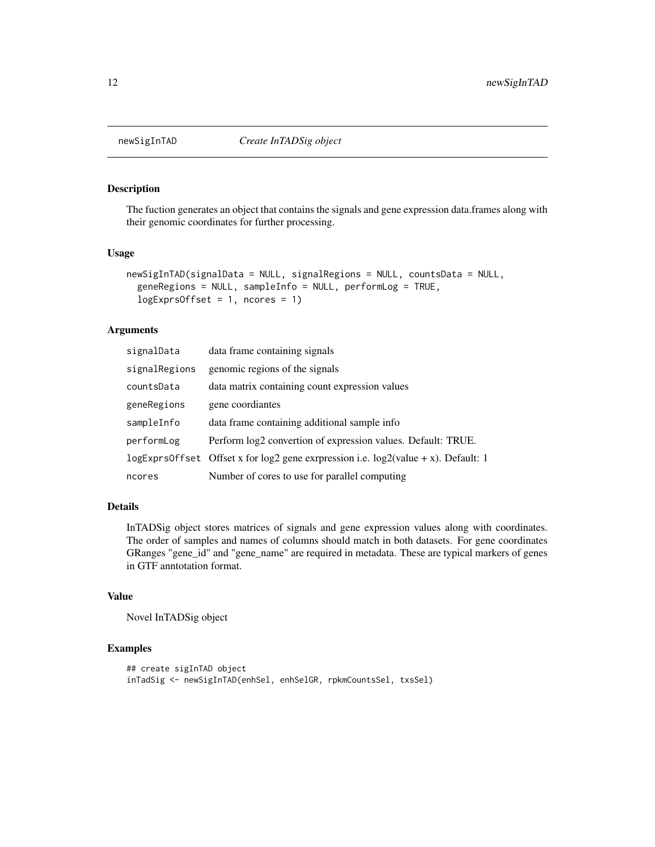<span id="page-11-0"></span>

The fuction generates an object that contains the signals and gene expression data.frames along with their genomic coordinates for further processing.

#### Usage

```
newSigInTAD(signalData = NULL, signalRegions = NULL, countsData = NULL,
  geneRegions = NULL, sampleInfo = NULL, performLog = TRUE,
  logExprsOffset = 1, ncores = 1)
```
#### Arguments

| signalData    | data frame containing signals                                                               |
|---------------|---------------------------------------------------------------------------------------------|
| signalRegions | genomic regions of the signals                                                              |
| countsData    | data matrix containing count expression values                                              |
| geneRegions   | gene coordiantes                                                                            |
| sampleInfo    | data frame containing additional sample info                                                |
| performLog    | Perform log2 convertion of expression values. Default: TRUE.                                |
|               | $logExpressOffset$ Offset x for $log2$ gene exrpression i.e. $log2(value + x)$ . Default: 1 |
| ncores        | Number of cores to use for parallel computing                                               |

#### Details

InTADSig object stores matrices of signals and gene expression values along with coordinates. The order of samples and names of columns should match in both datasets. For gene coordinates GRanges "gene\_id" and "gene\_name" are required in metadata. These are typical markers of genes in GTF anntotation format.

#### Value

Novel InTADSig object

```
## create sigInTAD object
inTadSig <- newSigInTAD(enhSel, enhSelGR, rpkmCountsSel, txsSel)
```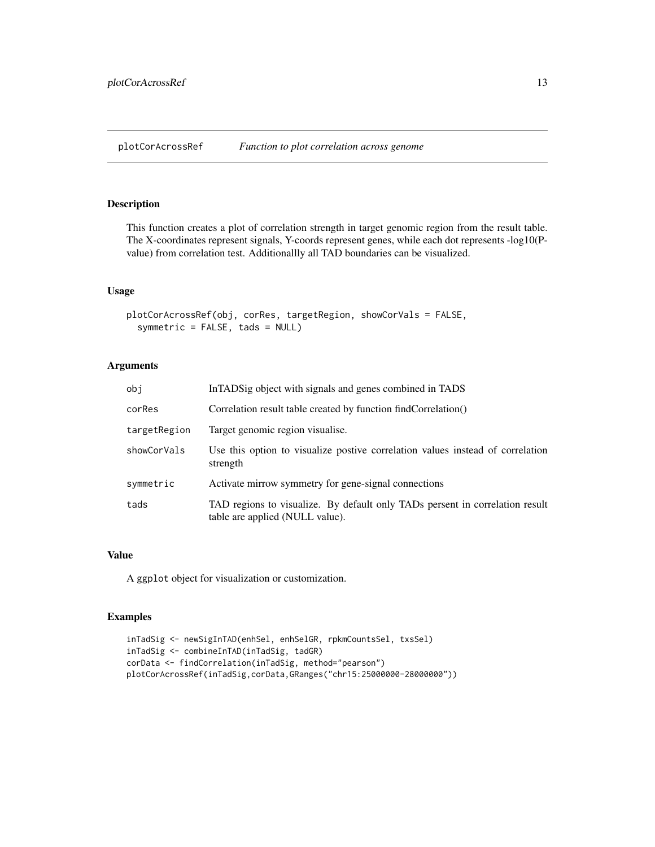<span id="page-12-0"></span>plotCorAcrossRef *Function to plot correlation across genome*

#### Description

This function creates a plot of correlation strength in target genomic region from the result table. The X-coordinates represent signals, Y-coords represent genes, while each dot represents -log10(Pvalue) from correlation test. Additionallly all TAD boundaries can be visualized.

#### Usage

```
plotCorAcrossRef(obj, corRes, targetRegion, showCorVals = FALSE,
  symmetric = FALSE, tads = NULL)
```
#### Arguments

| obj          | In TADS ig object with signals and genes combined in TADS                                                       |
|--------------|-----------------------------------------------------------------------------------------------------------------|
| corRes       | Correlation result table created by function findCorrelation()                                                  |
| targetRegion | Target genomic region visualise.                                                                                |
| showCorVals  | Use this option to visualize postive correlation values instead of correlation<br>strength                      |
| symmetric    | Activate mirrow symmetry for gene-signal connections                                                            |
| tads         | TAD regions to visualize. By default only TADs persent in correlation result<br>table are applied (NULL value). |

#### Value

A ggplot object for visualization or customization.

```
inTadSig <- newSigInTAD(enhSel, enhSelGR, rpkmCountsSel, txsSel)
inTadSig <- combineInTAD(inTadSig, tadGR)
corData <- findCorrelation(inTadSig, method="pearson")
plotCorAcrossRef(inTadSig,corData,GRanges("chr15:25000000-28000000"))
```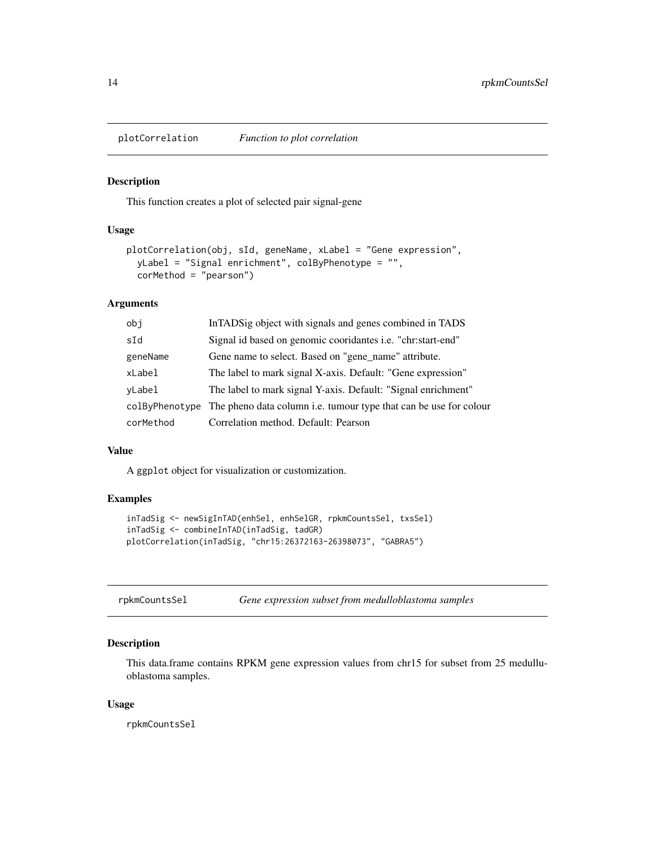<span id="page-13-0"></span>plotCorrelation *Function to plot correlation*

#### Description

This function creates a plot of selected pair signal-gene

#### Usage

```
plotCorrelation(obj, sId, geneName, xLabel = "Gene expression",
 yLabel = "Signal enrichment", colByPhenotype = "",
 corMethod = "pearson")
```
#### Arguments

| obj            | In TADS ig object with signals and genes combined in TADS                |
|----------------|--------------------------------------------------------------------------|
| sId            | Signal id based on genomic coordantes <i>i.e.</i> "chr:start-end"        |
| geneName       | Gene name to select. Based on "gene_name" attribute.                     |
| xLabel         | The label to mark signal X-axis. Default: "Gene expression"              |
| vLabel         | The label to mark signal Y-axis. Default: "Signal enrichment"            |
| colByPhenotype | The pheno data column <i>i.e.</i> tumour type that can be use for colour |
| corMethod      | Correlation method. Default: Pearson                                     |

#### Value

A ggplot object for visualization or customization.

#### Examples

```
inTadSig <- newSigInTAD(enhSel, enhSelGR, rpkmCountsSel, txsSel)
inTadSig <- combineInTAD(inTadSig, tadGR)
plotCorrelation(inTadSig, "chr15:26372163-26398073", "GABRA5")
```

| Gene expression subset from medulloblastoma samples<br>rpkmCountsSel |
|----------------------------------------------------------------------|
|----------------------------------------------------------------------|

#### Description

This data.frame contains RPKM gene expression values from chr15 for subset from 25 medulluoblastoma samples.

#### Usage

rpkmCountsSel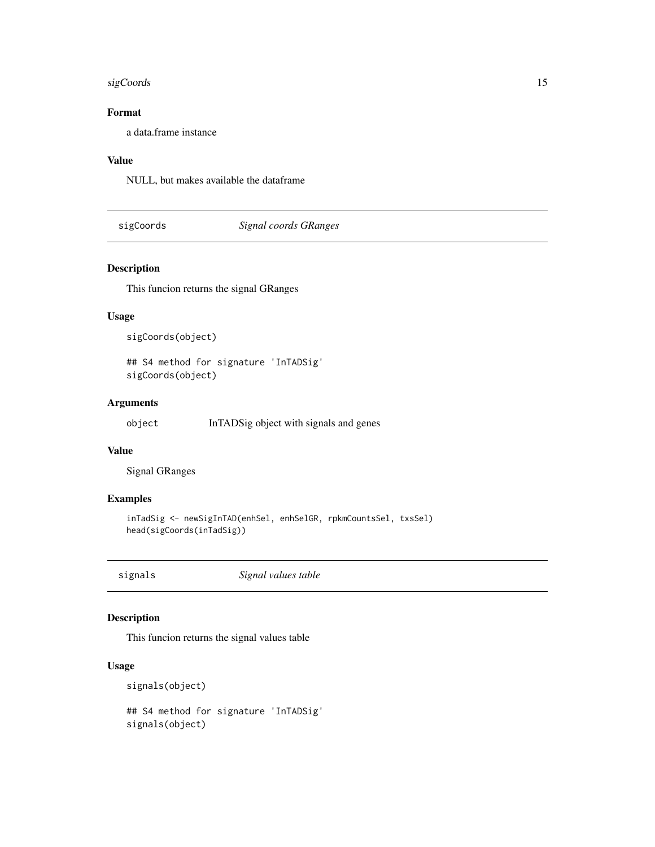#### <span id="page-14-0"></span>sigCoords 15

#### Format

a data.frame instance

#### Value

NULL, but makes available the dataframe

sigCoords *Signal coords GRanges*

#### Description

This funcion returns the signal GRanges

#### Usage

```
sigCoords(object)
```

```
## S4 method for signature 'InTADSig'
sigCoords(object)
```
#### Arguments

```
object InTADSig object with signals and genes
```
#### Value

Signal GRanges

#### Examples

```
inTadSig <- newSigInTAD(enhSel, enhSelGR, rpkmCountsSel, txsSel)
head(sigCoords(inTadSig))
```
signals *Signal values table*

#### Description

This funcion returns the signal values table

#### Usage

```
signals(object)
## S4 method for signature 'InTADSig'
signals(object)
```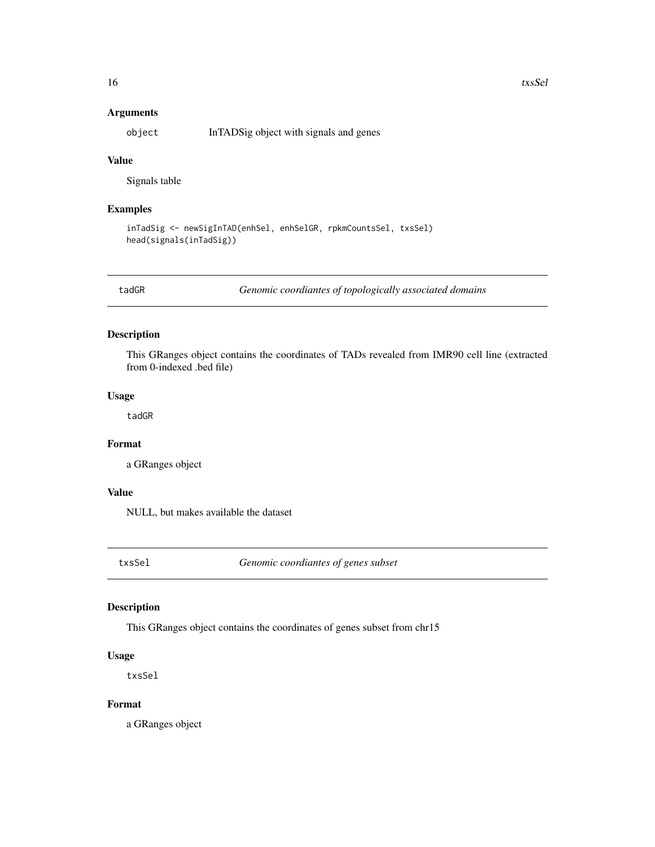#### <span id="page-15-0"></span>Arguments

object InTADSig object with signals and genes

#### Value

Signals table

#### Examples

```
inTadSig <- newSigInTAD(enhSel, enhSelGR, rpkmCountsSel, txsSel)
head(signals(inTadSig))
```
tadGR *Genomic coordiantes of topologically associated domains*

#### Description

This GRanges object contains the coordinates of TADs revealed from IMR90 cell line (extracted from 0-indexed .bed file)

#### Usage

tadGR

#### Format

a GRanges object

#### Value

NULL, but makes available the dataset

txsSel *Genomic coordiantes of genes subset*

#### Description

This GRanges object contains the coordinates of genes subset from chr15

#### Usage

txsSel

#### Format

a GRanges object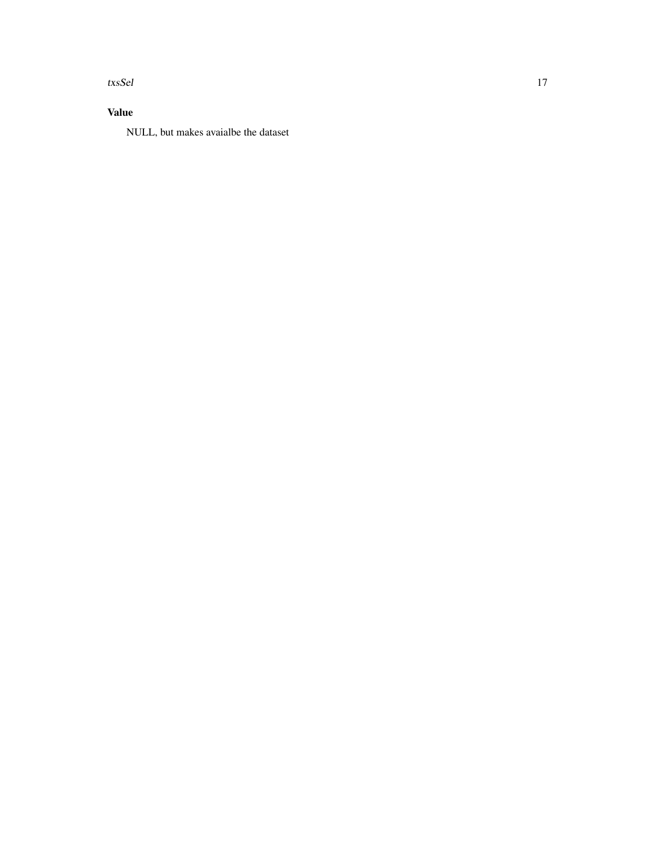txsSel 17

### Value

NULL, but makes avaialbe the dataset